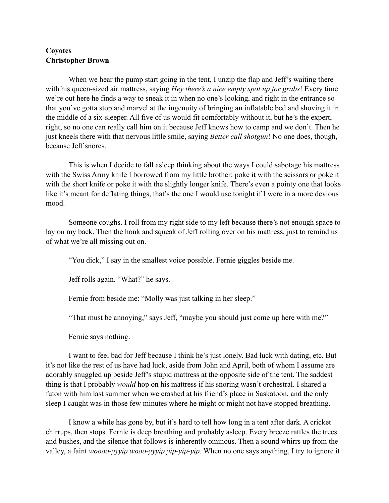## **Coyotes Christopher Brown**

When we hear the pump start going in the tent, I unzip the flap and Jeff's waiting there with his queen-sized air mattress, saying *Hey there's a nice empty spot up for grabs*! Every time we're out here he finds a way to sneak it in when no one's looking, and right in the entrance so that you've gotta stop and marvel at the ingenuity of bringing an inflatable bed and shoving it in the middle of a six-sleeper. All five of us would fit comfortably without it, but he's the expert, right, so no one can really call him on it because Jeff knows how to camp and we don't. Then he just kneels there with that nervous little smile, saying *Better call shotgun*! No one does, though, because Jeff snores.

This is when I decide to fall asleep thinking about the ways I could sabotage his mattress with the Swiss Army knife I borrowed from my little brother: poke it with the scissors or poke it with the short knife or poke it with the slightly longer knife. There's even a pointy one that looks like it's meant for deflating things, that's the one I would use tonight if I were in a more devious mood.

Someone coughs. I roll from my right side to my left because there's not enough space to lay on my back. Then the honk and squeak of Jeff rolling over on his mattress, just to remind us of what we're all missing out on.

"You dick," I say in the smallest voice possible. Fernie giggles beside me.

Jeff rolls again. "What?" he says.

Fernie from beside me: "Molly was just talking in her sleep."

"That must be annoying," says Jeff, "maybe you should just come up here with me?"

Fernie says nothing.

I want to feel bad for Jeff because I think he's just lonely. Bad luck with dating, etc. But it's not like the rest of us have had luck, aside from John and April, both of whom I assume are adorably snuggled up beside Jeff's stupid mattress at the opposite side of the tent. The saddest thing is that I probably *would* hop on his mattress if his snoring wasn't orchestral. I shared a futon with him last summer when we crashed at his friend's place in Saskatoon, and the only sleep I caught was in those few minutes where he might or might not have stopped breathing.

I know a while has gone by, but it's hard to tell how long in a tent after dark. A cricket chirrups, then stops. Fernie is deep breathing and probably asleep. Every breeze rattles the trees and bushes, and the silence that follows is inherently ominous. Then a sound whirrs up from the valley, a faint *woooo-yyyip wooo-yyyip yip-yip-yip*. When no one says anything, I try to ignore it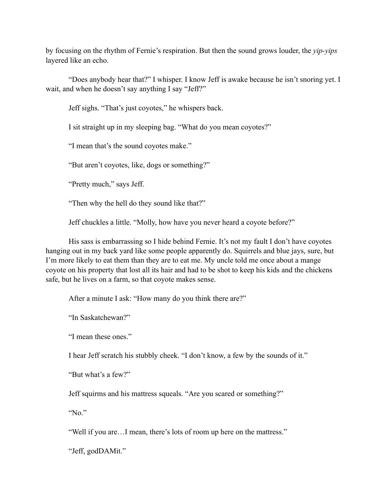by focusing on the rhythm of Fernie's respiration. But then the sound grows louder, the *yip-yips* layered like an echo.

"Does anybody hear that?" I whisper. I know Jeff is awake because he isn't snoring yet. I wait, and when he doesn't say anything I say "Jeff?"

Jeff sighs. "That's just coyotes," he whispers back.

I sit straight up in my sleeping bag. "What do you mean coyotes?"

"I mean that's the sound coyotes make."

"But aren't coyotes, like, dogs or something?"

"Pretty much," says Jeff.

"Then why the hell do they sound like that?"

Jeff chuckles a little. "Molly, how have you never heard a coyote before?"

His sass is embarrassing so I hide behind Fernie. It's not my fault I don't have coyotes hanging out in my back yard like some people apparently do. Squirrels and blue jays, sure, but I'm more likely to eat them than they are to eat me. My uncle told me once about a mange coyote on his property that lost all its hair and had to be shot to keep his kids and the chickens safe, but he lives on a farm, so that coyote makes sense.

After a minute I ask: "How many do you think there are?"

"In Saskatchewan?"

"I mean these ones."

I hear Jeff scratch his stubbly cheek. "I don't know, a few by the sounds of it."

"But what's a few?"

Jeff squirms and his mattress squeals. "Are you scared or something?"

"No."

"Well if you are…I mean, there's lots of room up here on the mattress."

"Jeff, godDAMit."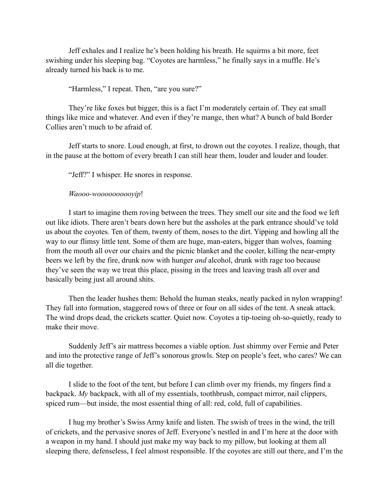Jeff exhales and I realize he's been holding his breath. He squirms a bit more, feet swishing under his sleeping bag. "Coyotes are harmless," he finally says in a muffle. He's already turned his back is to me.

"Harmless," I repeat. Then, "are you sure?"

They're like foxes but bigger, this is a fact I'm moderately certain of. They eat small things like mice and whatever. And even if they're mange, then what? A bunch of bald Border Collies aren't much to be afraid of.

Jeff starts to snore. Loud enough, at first, to drown out the coyotes. I realize, though, that in the pause at the bottom of every breath I can still hear them, louder and louder and louder.

"Jeff?" I whisper. He snores in response.

## *Waooo-woooooooooyip*!

I start to imagine them roving between the trees. They smell our site and the food we left out like idiots. There aren't bears down here but the assholes at the park entrance should've told us about the coyotes. Ten of them, twenty of them, noses to the dirt. Yipping and howling all the way to our flimsy little tent. Some of them are huge, man-eaters, bigger than wolves, foaming from the mouth all over our chairs and the picnic blanket and the cooler, killing the near-empty beers we left by the fire, drunk now with hunger *and* alcohol, drunk with rage too because they've seen the way we treat this place, pissing in the trees and leaving trash all over and basically being just all around shits.

Then the leader hushes them: Behold the human steaks, neatly packed in nylon wrapping! They fall into formation, staggered rows of three or four on all sides of the tent. A sneak attack. The wind drops dead, the crickets scatter. Quiet now. Coyotes a tip-toeing oh-so-quietly, ready to make their move.

Suddenly Jeff's air mattress becomes a viable option. Just shimmy over Fernie and Peter and into the protective range of Jeff's sonorous growls. Step on people's feet, who cares? We can all die together.

I slide to the foot of the tent, but before I can climb over my friends, my fingers find a backpack. *My* backpack, with all of my essentials, toothbrush, compact mirror, nail clippers, spiced rum—but inside, the most essential thing of all: red, cold, full of capabilities.

I hug my brother's Swiss Army knife and listen. The swish of trees in the wind, the trill of crickets, and the pervasive snores of Jeff. Everyone's nestled in and I'm here at the door with a weapon in my hand. I should just make my way back to my pillow, but looking at them all sleeping there, defenseless, I feel almost responsible. If the coyotes are still out there, and I'm the